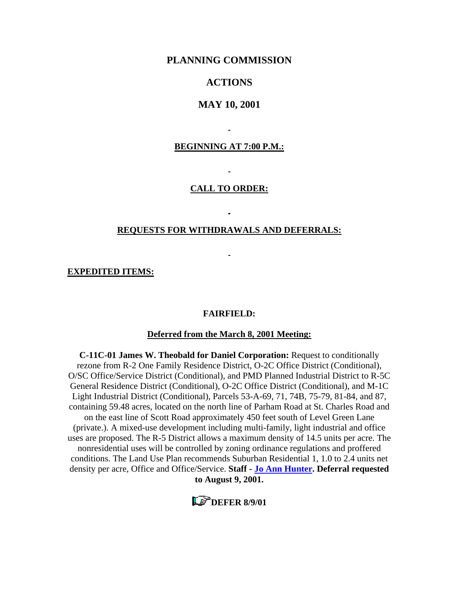## **PLANNING COMMISSION**

## **ACTIONS**

## **MAY 10, 2001**

### **BEGINNING AT 7:00 P.M.:**

Ē,

#### **CALL TO ORDER:**

 $\ddot{\phantom{a}}$ 

#### **REQUESTS FOR WITHDRAWALS AND DEFERRALS:**

L.

L.

**EXPEDITED ITEMS:**

### **FAIRFIELD:**

### **Deferred from the March 8, 2001 Meeting:**

**C-11C-01 James W. Theobald for Daniel Corporation:** Request to conditionally rezone from R-2 One Family Residence District, O-2C Office District (Conditional), O/SC Office/Service District (Conditional), and PMD Planned Industrial District to R-5C General Residence District (Conditional), O-2C Office District (Conditional), and M-1C Light Industrial District (Conditional), Parcels 53-A-69, 71, 74B, 75-79, 81-84, and 87, containing 59.48 acres, located on the north line of Parham Road at St. Charles Road and on the east line of Scott Road approximately 450 feet south of Level Green Lane (private.). A mixed-use development including multi-family, light industrial and office uses are proposed. The R-5 District allows a maximum density of 14.5 units per acre. The nonresidential uses will be controlled by zoning ordinance regulations and proffered conditions. The Land Use Plan recommends Suburban Residential 1, 1.0 to 2.4 units net density per acre, Office and Office/Service. **Staff - [Jo Ann Hunter.](mailto:hun30@co.henrico.va.us) Deferral requested to August 9, 2001.** 

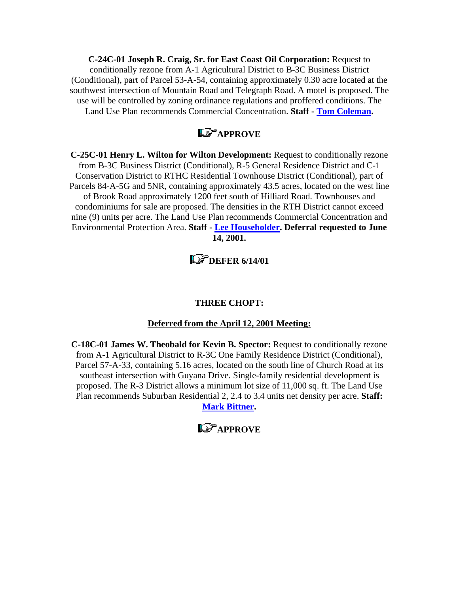**C-24C-01 Joseph R. Craig, Sr. for East Coast Oil Corporation:** Request to conditionally rezone from A-1 Agricultural District to B-3C Business District (Conditional), part of Parcel 53-A-54, containing approximately 0.30 acre located at the southwest intersection of Mountain Road and Telegraph Road. A motel is proposed. The use will be controlled by zoning ordinance regulations and proffered conditions. The Land Use Plan recommends Commercial Concentration. **Staff - [Tom Coleman](mailto:col09@co.henrico.va.us).** 

## **LS** APPROVE

**C-25C-01 Henry L. Wilton for Wilton Development:** Request to conditionally rezone from B-3C Business District (Conditional), R-5 General Residence District and C-1 Conservation District to RTHC Residential Townhouse District (Conditional), part of Parcels 84-A-5G and 5NR, containing approximately 43.5 acres, located on the west line of Brook Road approximately 1200 feet south of Hilliard Road. Townhouses and condominiums for sale are proposed. The densities in the RTH District cannot exceed nine (9) units per acre. The Land Use Plan recommends Commercial Concentration and Environmental Protection Area. **Staff - [Lee Householder](mailto:hou10@co.henrico.va.us). Deferral requested to June 14, 2001.** 

# **L**<sup>*S*</sup> DEFER 6/14/01

## **THREE CHOPT:**

## **Deferred from the April 12, 2001 Meeting:**

**C-18C-01 James W. Theobald for Kevin B. Spector:** Request to conditionally rezone from A-1 Agricultural District to R-3C One Family Residence District (Conditional), Parcel 57-A-33, containing 5.16 acres, located on the south line of Church Road at its southeast intersection with Guyana Drive. Single-family residential development is proposed. The R-3 District allows a minimum lot size of 11,000 sq. ft. The Land Use Plan recommends Suburban Residential 2, 2.4 to 3.4 units net density per acre. **Staff:** 

**[Mark Bittner](mailto:bit10@co.henrico.va.us).** 

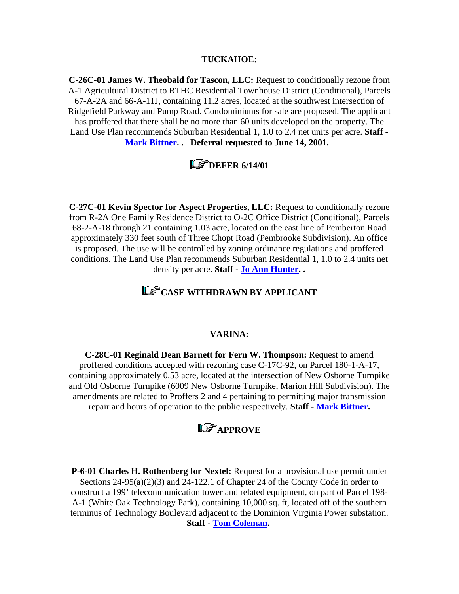#### **TUCKAHOE:**

**C-26C-01 James W. Theobald for Tascon, LLC:** Request to conditionally rezone from A-1 Agricultural District to RTHC Residential Townhouse District (Conditional), Parcels 67-A-2A and 66-A-11J, containing 11.2 acres, located at the southwest intersection of Ridgefield Parkway and Pump Road. Condominiums for sale are proposed. The applicant has proffered that there shall be no more than 60 units developed on the property. The Land Use Plan recommends Suburban Residential 1, 1.0 to 2.4 net units per acre. **Staff - [Mark Bittner](mailto:bit10@co.henrico.va.us). . Deferral requested to June 14, 2001.** 

## **L**<sup>3</sup> DEFER 6/14/01

**C-27C-01 Kevin Spector for Aspect Properties, LLC:** Request to conditionally rezone from R-2A One Family Residence District to O-2C Office District (Conditional), Parcels 68-2-A-18 through 21 containing 1.03 acre, located on the east line of Pemberton Road approximately 330 feet south of Three Chopt Road (Pembrooke Subdivision). An office is proposed. The use will be controlled by zoning ordinance regulations and proffered conditions. The Land Use Plan recommends Suburban Residential 1, 1.0 to 2.4 units net density per acre. **Staff - [Jo Ann Hunter](mailto:hun30@co.henrico.va.us). .** 

# **CASE WITHDRAWN BY APPLICANT**

### **VARINA:**

**C-28C-01 Reginald Dean Barnett for Fern W. Thompson:** Request to amend proffered conditions accepted with rezoning case C-17C-92, on Parcel 180-1-A-17, containing approximately 0.53 acre, located at the intersection of New Osborne Turnpike and Old Osborne Turnpike (6009 New Osborne Turnpike, Marion Hill Subdivision). The amendments are related to Proffers 2 and 4 pertaining to permitting major transmission repair and hours of operation to the public respectively. **Staff - [Mark Bittner.](mailto:bit10@co.henrico.va.us)** 

## **LS**APPROVE

**P-6-01 Charles H. Rothenberg for Nextel:** Request for a provisional use permit under Sections 24-95(a)(2)(3) and 24-122.1 of Chapter 24 of the County Code in order to construct a 199' telecommunication tower and related equipment, on part of Parcel 198- A-1 (White Oak Technology Park), containing 10,000 sq. ft, located off of the southern terminus of Technology Boulevard adjacent to the Dominion Virginia Power substation. **Staff - [Tom Coleman.](mailto:col09@co.henrico.va.us)**